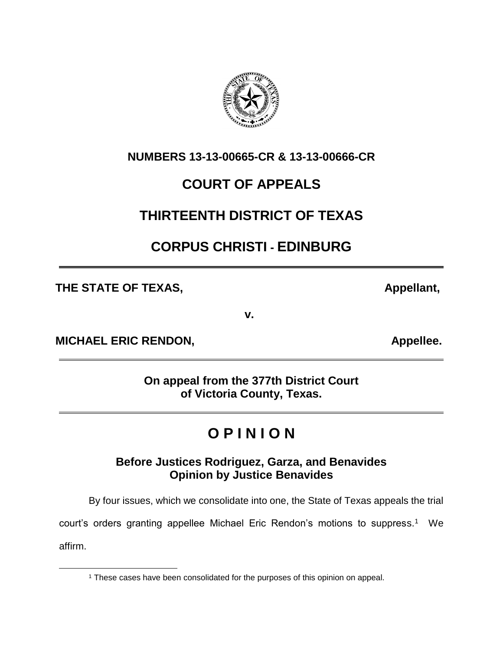

## **COURT OF APPEALS**

## **THIRTEENTH DISTRICT OF TEXAS**

## **CORPUS CHRISTI - EDINBURG**

THE STATE OF TEXAS, **Appellant**,

 $\overline{a}$ 

**v.**

**MICHAEL ERIC RENDON, CONSUMING A PROPERTY APPELIES.** 

**On appeal from the 377th District Court of Victoria County, Texas.**

# **O P I N I O N**

### **Before Justices Rodriguez, Garza, and Benavides Opinion by Justice Benavides**

By four issues, which we consolidate into one, the State of Texas appeals the trial

court's orders granting appellee Michael Eric Rendon's motions to suppress.<sup>1</sup> We affirm.



<sup>&</sup>lt;sup>1</sup> These cases have been consolidated for the purposes of this opinion on appeal.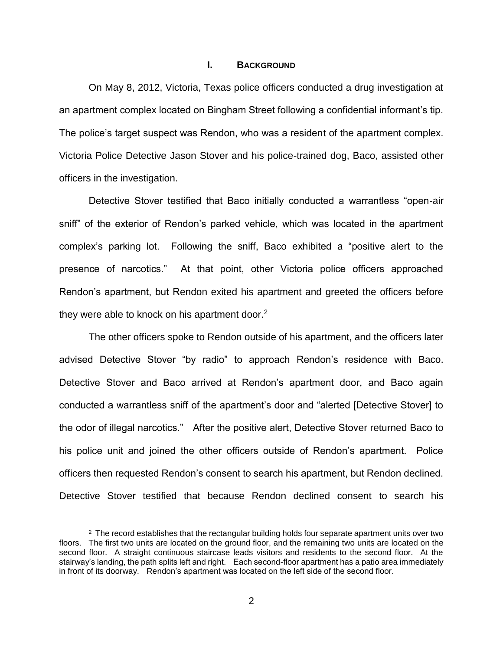#### **I. BACKGROUND**

On May 8, 2012, Victoria, Texas police officers conducted a drug investigation at an apartment complex located on Bingham Street following a confidential informant's tip. The police's target suspect was Rendon, who was a resident of the apartment complex. Victoria Police Detective Jason Stover and his police-trained dog, Baco, assisted other officers in the investigation.

Detective Stover testified that Baco initially conducted a warrantless "open-air sniff" of the exterior of Rendon's parked vehicle, which was located in the apartment complex's parking lot. Following the sniff, Baco exhibited a "positive alert to the presence of narcotics." At that point, other Victoria police officers approached Rendon's apartment, but Rendon exited his apartment and greeted the officers before they were able to knock on his apartment door. $2$ 

The other officers spoke to Rendon outside of his apartment, and the officers later advised Detective Stover "by radio" to approach Rendon's residence with Baco. Detective Stover and Baco arrived at Rendon's apartment door, and Baco again conducted a warrantless sniff of the apartment's door and "alerted [Detective Stover] to the odor of illegal narcotics." After the positive alert, Detective Stover returned Baco to his police unit and joined the other officers outside of Rendon's apartment. Police officers then requested Rendon's consent to search his apartment, but Rendon declined. Detective Stover testified that because Rendon declined consent to search his

 $\overline{a}$ 

 $2$  The record establishes that the rectangular building holds four separate apartment units over two floors. The first two units are located on the ground floor, and the remaining two units are located on the second floor. A straight continuous staircase leads visitors and residents to the second floor. At the stairway's landing, the path splits left and right. Each second-floor apartment has a patio area immediately in front of its doorway. Rendon's apartment was located on the left side of the second floor.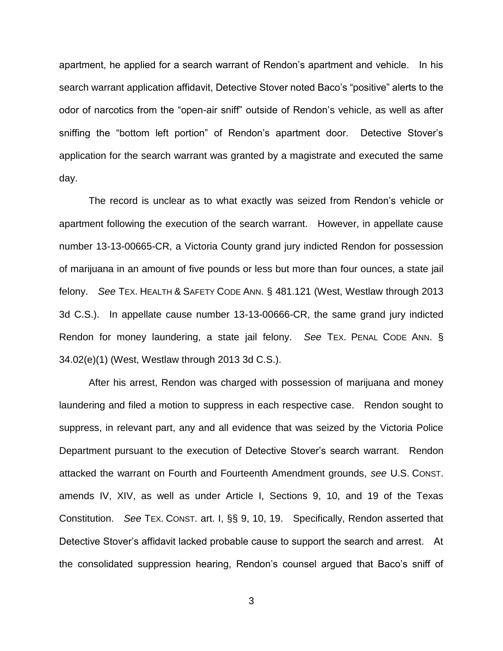apartment, he applied for a search warrant of Rendon's apartment and vehicle. In his search warrant application affidavit, Detective Stover noted Baco's "positive" alerts to the odor of narcotics from the "open-air sniff" outside of Rendon's vehicle, as well as after sniffing the "bottom left portion" of Rendon's apartment door. Detective Stover's application for the search warrant was granted by a magistrate and executed the same day.

The record is unclear as to what exactly was seized from Rendon's vehicle or apartment following the execution of the search warrant. However, in appellate cause number 13-13-00665-CR, a Victoria County grand jury indicted Rendon for possession of marijuana in an amount of five pounds or less but more than four ounces, a state jail felony. *See* TEX. HEALTH & SAFETY CODE ANN. § 481.121 (West, Westlaw through 2013 3d C.S.). In appellate cause number 13-13-00666-CR, the same grand jury indicted Rendon for money laundering, a state jail felony. *See* TEX. PENAL CODE ANN. § 34.02(e)(1) (West, Westlaw through 2013 3d C.S.).

After his arrest, Rendon was charged with possession of marijuana and money laundering and filed a motion to suppress in each respective case. Rendon sought to suppress, in relevant part, any and all evidence that was seized by the Victoria Police Department pursuant to the execution of Detective Stover's search warrant. Rendon attacked the warrant on Fourth and Fourteenth Amendment grounds, *see* U.S. CONST. amends IV, XIV, as well as under Article I, Sections 9, 10, and 19 of the Texas Constitution. *See* TEX. CONST. art. I, §§ 9, 10, 19. Specifically, Rendon asserted that Detective Stover's affidavit lacked probable cause to support the search and arrest. At the consolidated suppression hearing, Rendon's counsel argued that Baco's sniff of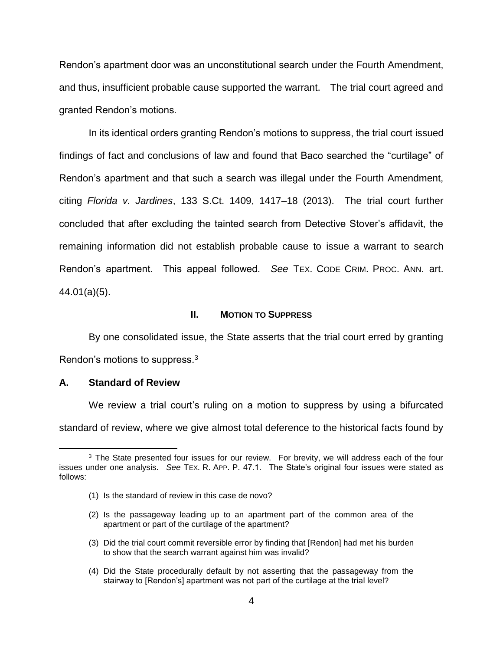Rendon's apartment door was an unconstitutional search under the Fourth Amendment, and thus, insufficient probable cause supported the warrant. The trial court agreed and granted Rendon's motions.

In its identical orders granting Rendon's motions to suppress, the trial court issued findings of fact and conclusions of law and found that Baco searched the "curtilage" of Rendon's apartment and that such a search was illegal under the Fourth Amendment, citing *Florida v. Jardines*, 133 S.Ct. 1409, 1417–18 (2013). The trial court further concluded that after excluding the tainted search from Detective Stover's affidavit, the remaining information did not establish probable cause to issue a warrant to search Rendon's apartment. This appeal followed. *See* TEX. CODE CRIM. PROC. ANN. art. 44.01(a)(5).

#### **II. MOTION TO SUPPRESS**

By one consolidated issue, the State asserts that the trial court erred by granting Rendon's motions to suppress. $3$ 

#### **A. Standard of Review**

 $\overline{a}$ 

We review a trial court's ruling on a motion to suppress by using a bifurcated standard of review, where we give almost total deference to the historical facts found by

- (2) Is the passageway leading up to an apartment part of the common area of the apartment or part of the curtilage of the apartment?
- (3) Did the trial court commit reversible error by finding that [Rendon] had met his burden to show that the search warrant against him was invalid?
- (4) Did the State procedurally default by not asserting that the passageway from the stairway to [Rendon's] apartment was not part of the curtilage at the trial level?

<sup>&</sup>lt;sup>3</sup> The State presented four issues for our review. For brevity, we will address each of the four issues under one analysis. *See* TEX. R. APP. P. 47.1. The State's original four issues were stated as follows:

<sup>(1)</sup> Is the standard of review in this case de novo?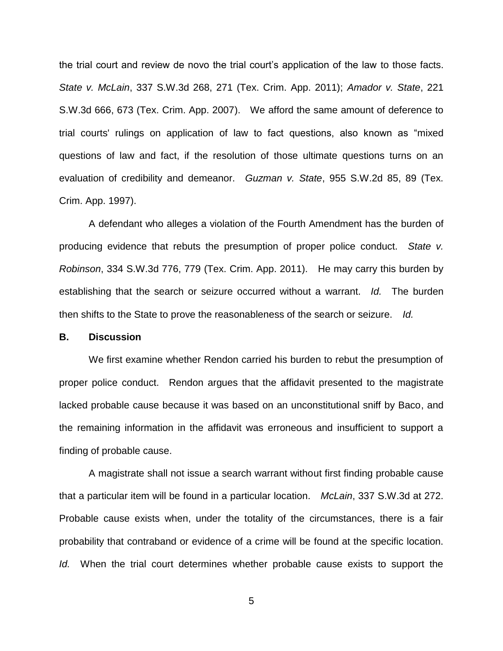the trial court and review de novo the trial court's application of the law to those facts. *State v. McLain*, 337 S.W.3d 268, 271 (Tex. Crim. App. 2011); *Amador v. State*, 221 S.W.3d 666, 673 (Tex. Crim. App. 2007). We afford the same amount of deference to trial courts' rulings on application of law to fact questions, also known as "mixed questions of law and fact, if the resolution of those ultimate questions turns on an evaluation of credibility and demeanor. *Guzman v. State*, 955 S.W.2d 85, 89 (Tex. Crim. App. 1997).

A defendant who alleges a violation of the Fourth Amendment has the burden of producing evidence that rebuts the presumption of proper police conduct. *State v. Robinson*, 334 S.W.3d 776, 779 (Tex. Crim. App. 2011). He may carry this burden by establishing that the search or seizure occurred without a warrant. *Id.* The burden then shifts to the State to prove the reasonableness of the search or seizure. *Id.*

#### **B. Discussion**

We first examine whether Rendon carried his burden to rebut the presumption of proper police conduct. Rendon argues that the affidavit presented to the magistrate lacked probable cause because it was based on an unconstitutional sniff by Baco, and the remaining information in the affidavit was erroneous and insufficient to support a finding of probable cause.

A magistrate shall not issue a search warrant without first finding probable cause that a particular item will be found in a particular location. *McLain*, 337 S.W.3d at 272. Probable cause exists when, under the totality of the circumstances, there is a fair probability that contraband or evidence of a crime will be found at the specific location. *Id.* When the trial court determines whether probable cause exists to support the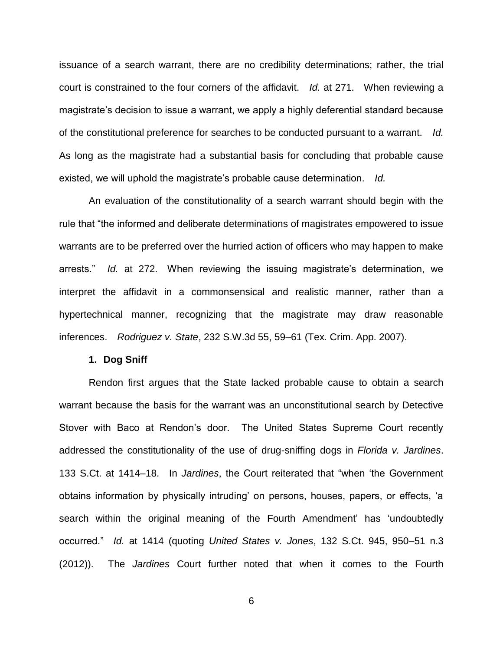issuance of a search warrant, there are no credibility determinations; rather, the trial court is constrained to the four corners of the affidavit. *Id.* at 271. When reviewing a magistrate's decision to issue a warrant, we apply a highly deferential standard because of the constitutional preference for searches to be conducted pursuant to a warrant. *Id.*  As long as the magistrate had a substantial basis for concluding that probable cause existed, we will uphold the magistrate's probable cause determination. *Id.*

An evaluation of the constitutionality of a search warrant should begin with the rule that "the informed and deliberate determinations of magistrates empowered to issue warrants are to be preferred over the hurried action of officers who may happen to make arrests." *Id.* at 272. When reviewing the issuing magistrate's determination, we interpret the affidavit in a commonsensical and realistic manner, rather than a hypertechnical manner, recognizing that the magistrate may draw reasonable inferences. *Rodriguez v. State*, 232 S.W.3d 55, 59–61 (Tex. Crim. App. 2007).

#### **1. Dog Sniff**

Rendon first argues that the State lacked probable cause to obtain a search warrant because the basis for the warrant was an unconstitutional search by Detective Stover with Baco at Rendon's door. The United States Supreme Court recently addressed the constitutionality of the use of drug-sniffing dogs in *Florida v. Jardines*. 133 S.Ct. at 1414–18. In *Jardines*, the Court reiterated that "when 'the Government obtains information by physically intruding' on persons, houses, papers, or effects, 'a search within the original meaning of the Fourth Amendment' has 'undoubtedly occurred." *Id.* at 1414 (quoting *United States v. Jones*, 132 S.Ct. 945, 950–51 n.3 (2012)). The *Jardines* Court further noted that when it comes to the Fourth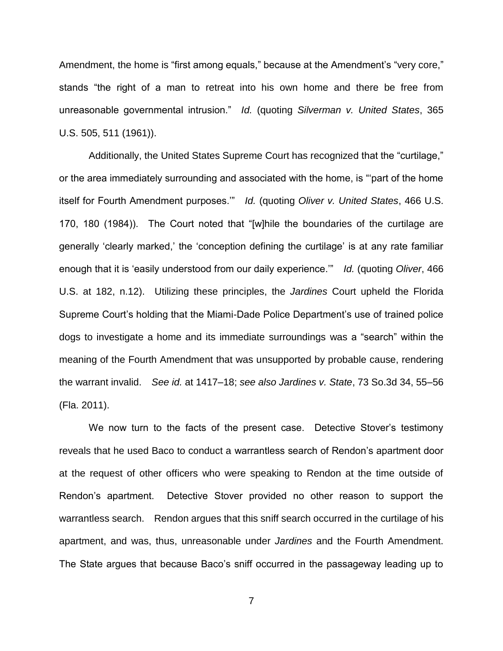Amendment, the home is "first among equals," because at the Amendment's "very core," stands "the right of a man to retreat into his own home and there be free from unreasonable governmental intrusion." *Id.* (quoting *Silverman v. United States*, 365 U.S. 505, 511 (1961)).

Additionally, the United States Supreme Court has recognized that the "curtilage," or the area immediately surrounding and associated with the home, is "'part of the home itself for Fourth Amendment purposes.'" *Id.* (quoting *Oliver v. United States*, 466 U.S. 170, 180 (1984)). The Court noted that "[w]hile the boundaries of the curtilage are generally 'clearly marked,' the 'conception defining the curtilage' is at any rate familiar enough that it is 'easily understood from our daily experience.'" *Id.* (quoting *Oliver*, 466 U.S. at 182, n.12). Utilizing these principles, the *Jardines* Court upheld the Florida Supreme Court's holding that the Miami-Dade Police Department's use of trained police dogs to investigate a home and its immediate surroundings was a "search" within the meaning of the Fourth Amendment that was unsupported by probable cause, rendering the warrant invalid. *See id.* at 1417–18; *see also Jardines v. State*, 73 So.3d 34, 55–56 (Fla. 2011).

We now turn to the facts of the present case. Detective Stover's testimony reveals that he used Baco to conduct a warrantless search of Rendon's apartment door at the request of other officers who were speaking to Rendon at the time outside of Rendon's apartment. Detective Stover provided no other reason to support the warrantless search. Rendon argues that this sniff search occurred in the curtilage of his apartment, and was, thus, unreasonable under *Jardines* and the Fourth Amendment. The State argues that because Baco's sniff occurred in the passageway leading up to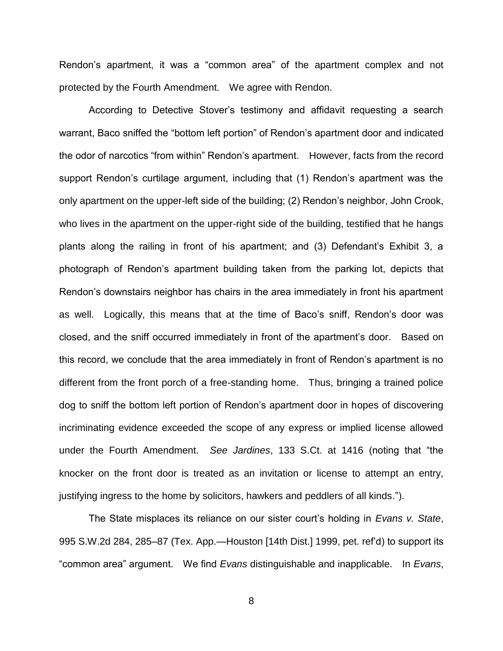Rendon's apartment, it was a "common area" of the apartment complex and not protected by the Fourth Amendment. We agree with Rendon.

According to Detective Stover's testimony and affidavit requesting a search warrant, Baco sniffed the "bottom left portion" of Rendon's apartment door and indicated the odor of narcotics "from within" Rendon's apartment. However, facts from the record support Rendon's curtilage argument, including that (1) Rendon's apartment was the only apartment on the upper-left side of the building; (2) Rendon's neighbor, John Crook, who lives in the apartment on the upper-right side of the building, testified that he hangs plants along the railing in front of his apartment; and (3) Defendant's Exhibit 3, a photograph of Rendon's apartment building taken from the parking lot, depicts that Rendon's downstairs neighbor has chairs in the area immediately in front his apartment as well. Logically, this means that at the time of Baco's sniff, Rendon's door was closed, and the sniff occurred immediately in front of the apartment's door. Based on this record, we conclude that the area immediately in front of Rendon's apartment is no different from the front porch of a free-standing home. Thus, bringing a trained police dog to sniff the bottom left portion of Rendon's apartment door in hopes of discovering incriminating evidence exceeded the scope of any express or implied license allowed under the Fourth Amendment. *See Jardines*, 133 S.Ct. at 1416 (noting that "the knocker on the front door is treated as an invitation or license to attempt an entry, justifying ingress to the home by solicitors, hawkers and peddlers of all kinds.").

The State misplaces its reliance on our sister court's holding in *Evans v. State*, 995 S.W.2d 284, 285–87 (Tex. App.—Houston [14th Dist.] 1999, pet. ref'd) to support its "common area" argument. We find *Evans* distinguishable and inapplicable. In *Evans*,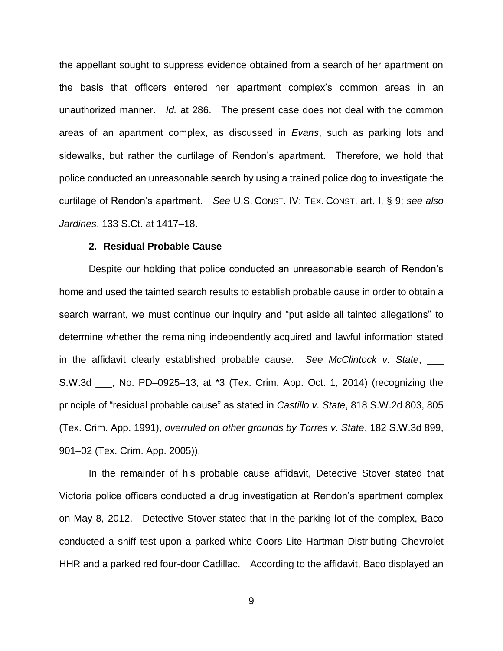the appellant sought to suppress evidence obtained from a search of her apartment on the basis that officers entered her apartment complex's common areas in an unauthorized manner. *Id.* at 286. The present case does not deal with the common areas of an apartment complex, as discussed in *Evans*, such as parking lots and sidewalks, but rather the curtilage of Rendon's apartment. Therefore, we hold that police conducted an unreasonable search by using a trained police dog to investigate the curtilage of Rendon's apartment. *See* U.S. CONST. IV; TEX. CONST. art. I, § 9; *see also Jardines*, 133 S.Ct. at 1417–18.

#### **2. Residual Probable Cause**

Despite our holding that police conducted an unreasonable search of Rendon's home and used the tainted search results to establish probable cause in order to obtain a search warrant, we must continue our inquiry and "put aside all tainted allegations" to determine whether the remaining independently acquired and lawful information stated in the affidavit clearly established probable cause. *See McClintock v. State*, \_\_\_ S.W.3d \_\_\_, No. PD–0925–13, at \*3 (Tex. Crim. App. Oct. 1, 2014) (recognizing the principle of "residual probable cause" as stated in *Castillo v. State*, 818 S.W.2d 803, 805 (Tex. Crim. App. 1991), *overruled on other grounds by Torres v. State*, 182 S.W.3d 899, 901–02 (Tex. Crim. App. 2005)).

In the remainder of his probable cause affidavit, Detective Stover stated that Victoria police officers conducted a drug investigation at Rendon's apartment complex on May 8, 2012. Detective Stover stated that in the parking lot of the complex, Baco conducted a sniff test upon a parked white Coors Lite Hartman Distributing Chevrolet HHR and a parked red four-door Cadillac. According to the affidavit, Baco displayed an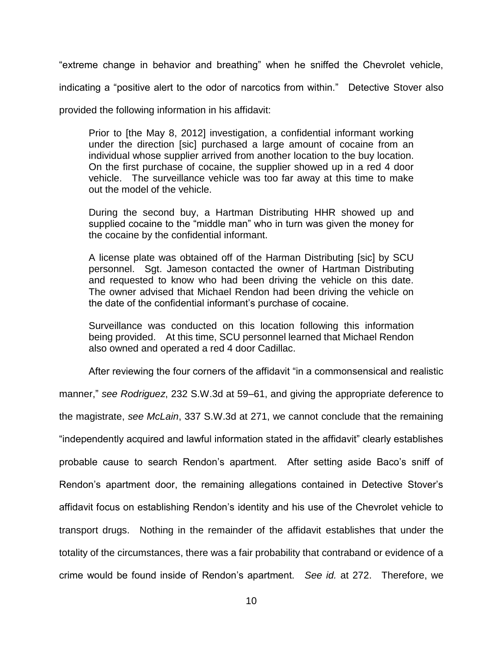"extreme change in behavior and breathing" when he sniffed the Chevrolet vehicle,

indicating a "positive alert to the odor of narcotics from within." Detective Stover also

provided the following information in his affidavit:

Prior to [the May 8, 2012] investigation, a confidential informant working under the direction [sic] purchased a large amount of cocaine from an individual whose supplier arrived from another location to the buy location. On the first purchase of cocaine, the supplier showed up in a red 4 door vehicle. The surveillance vehicle was too far away at this time to make out the model of the vehicle.

During the second buy, a Hartman Distributing HHR showed up and supplied cocaine to the "middle man" who in turn was given the money for the cocaine by the confidential informant.

A license plate was obtained off of the Harman Distributing [sic] by SCU personnel. Sgt. Jameson contacted the owner of Hartman Distributing and requested to know who had been driving the vehicle on this date. The owner advised that Michael Rendon had been driving the vehicle on the date of the confidential informant's purchase of cocaine.

Surveillance was conducted on this location following this information being provided. At this time, SCU personnel learned that Michael Rendon also owned and operated a red 4 door Cadillac.

After reviewing the four corners of the affidavit "in a commonsensical and realistic

manner," *see Rodriguez*, 232 S.W.3d at 59–61, and giving the appropriate deference to

the magistrate, *see McLain*, 337 S.W.3d at 271, we cannot conclude that the remaining

"independently acquired and lawful information stated in the affidavit" clearly establishes

probable cause to search Rendon's apartment. After setting aside Baco's sniff of Rendon's apartment door, the remaining allegations contained in Detective Stover's affidavit focus on establishing Rendon's identity and his use of the Chevrolet vehicle to transport drugs. Nothing in the remainder of the affidavit establishes that under the totality of the circumstances, there was a fair probability that contraband or evidence of a

crime would be found inside of Rendon's apartment. *See id.* at 272. Therefore, we